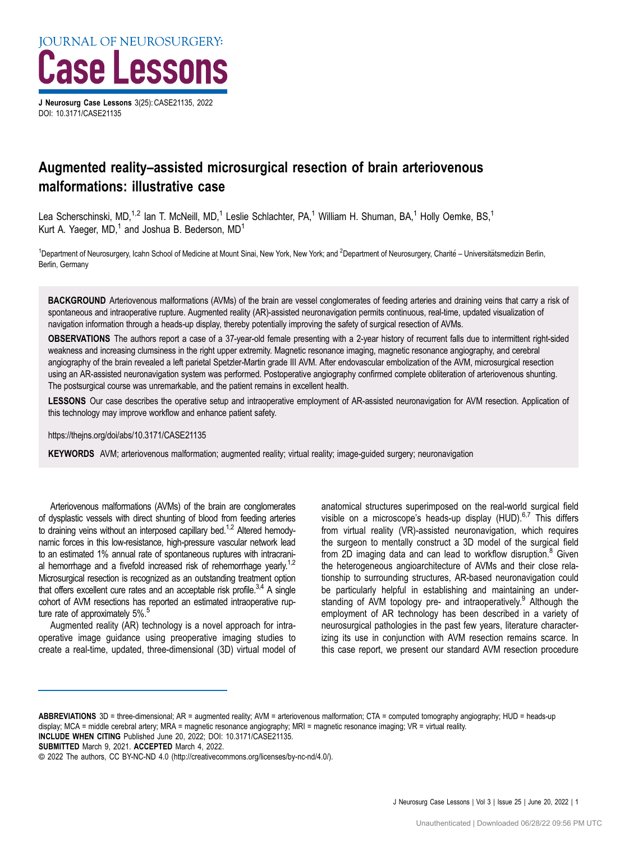

DOI: [10.3171/CASE21135](https://doi.org/10.3171/CASE21135)

# Augmented reality–assisted microsurgical resection of brain arteriovenous malformations: illustrative case

Lea Scherschinski, MD,<sup>1,2</sup> Ian T. McNeill, MD,<sup>1</sup> Leslie Schlachter, PA,<sup>1</sup> William H. Shuman, BA,<sup>1</sup> Holly Oemke, BS,<sup>1</sup> Kurt A. Yaeger,  $MD<sub>1</sub><sup>1</sup>$  and Joshua B. Bederson,  $MD<sub>1</sub>$ 

<sup>1</sup>Department of Neurosurgery, Icahn School of Medicine at Mount Sinai, New York, New York; and <sup>2</sup>Department of Neurosurgery, Charité – Universitätsmedizin Berlin, Berlin, Germany

BACKGROUND Arteriovenous malformations (AVMs) of the brain are vessel conglomerates of feeding arteries and draining veins that carry a risk of spontaneous and intraoperative rupture. Augmented reality (AR)-assisted neuronavigation permits continuous, real-time, updated visualization of navigation information through a heads-up display, thereby potentially improving the safety of surgical resection of AVMs.

OBSERVATIONS The authors report a case of a 37-year-old female presenting with a 2-year history of recurrent falls due to intermittent right-sided weakness and increasing clumsiness in the right upper extremity. Magnetic resonance imaging, magnetic resonance angiography, and cerebral angiography of the brain revealed a left parietal Spetzler-Martin grade III AVM. After endovascular embolization of the AVM, microsurgical resection using an AR-assisted neuronavigation system was performed. Postoperative angiography confirmed complete obliteration of arteriovenous shunting. The postsurgical course was unremarkable, and the patient remains in excellent health.

LESSONS Our case describes the operative setup and intraoperative employment of AR-assisted neuronavigation for AVM resection. Application of this technology may improve workflow and enhance patient safety.

https://thejns.org/doi/abs/10.3171/CASE21135

KEYWORDS AVM; arteriovenous malformation; augmented reality; virtual reality; image-guided surgery; neuronavigation

Arteriovenous malformations (AVMs) of the brain are conglomerates of dysplastic vessels with direct shunting of blood from feeding arteries to draining veins without an interposed capillary bed.<sup>1,[2](#page-3-0)</sup> Altered hemodynamic forces in this low-resistance, high-pressure vascular network lead to an estimated 1% annual rate of spontaneous ruptures with intracrani-al hemorrhage and a fivefold increased risk of rehemorrhage yearly.<sup>1,[2](#page-3-0)</sup> Microsurgical resection is recognized as an outstanding treatment option that offers excellent cure rates and an acceptable risk profile.<sup>3,4</sup> A single cohort of AVM resections has reported an estimated intraoperative rupture rate of approximately 5%.<sup>5</sup>

Augmented reality (AR) technology is a novel approach for intraoperative image guidance using preoperative imaging studies to create a real-time, updated, three-dimensional (3D) virtual model of anatomical structures superimposed on the real-world surgical field visible on a microscope's heads-up display (HUD).<sup>[6,7](#page-3-0)</sup> This differs from virtual reality (VR)-assisted neuronavigation, which requires the surgeon to mentally construct a 3D model of the surgical field from 2D imaging data and can lead to workflow disruption. $8$  Given the heterogeneous angioarchitecture of AVMs and their close relationship to surrounding structures, AR-based neuronavigation could be particularly helpful in establishing and maintaining an under-standing of AVM topology pre- and intraoperatively.<sup>[9](#page-3-0)</sup> Although the employment of AR technology has been described in a variety of neurosurgical pathologies in the past few years, literature characterizing its use in conjunction with AVM resection remains scarce. In this case report, we present our standard AVM resection procedure

SUBMITTED March 9, 2021. ACCEPTED March 4, 2022.

ABBREVIATIONS 3D = three-dimensional; AR = augmented reality; AVM = arteriovenous malformation; CTA = computed tomography angiography; HUD = heads-up display; MCA = middle cerebral artery; MRA = magnetic resonance angiography; MRI = magnetic resonance imaging; VR = virtual reality.

INCLUDE WHEN CITING Published June 20, 2022; DOI: 10.3171/CASE21135.

<sup>©</sup> 2022 The authors, CC BY-NC-ND 4.0 ([http://creativecommons.org/licenses/by-nc-nd/4.0/\)](https://creativecommons.org/licenses/by-nc-nd/4.0/).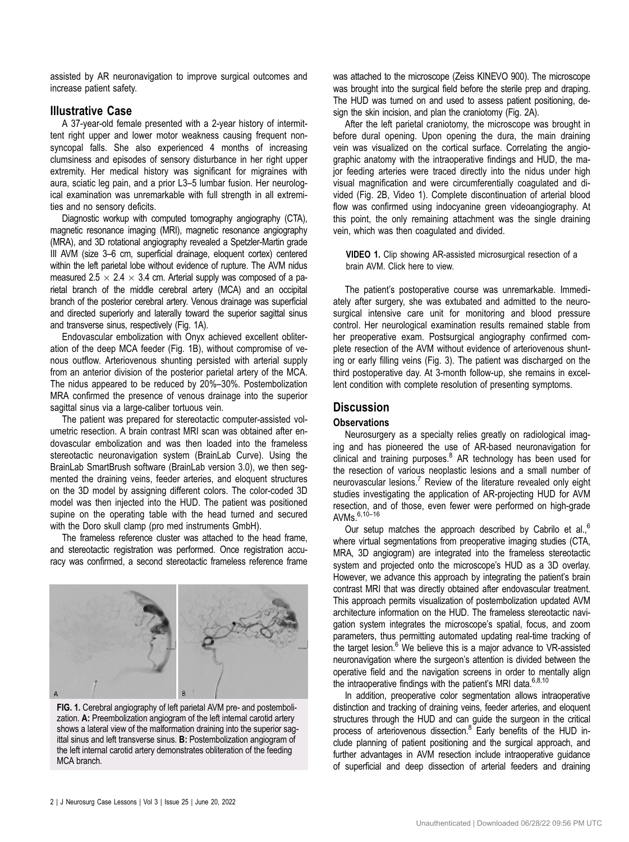assisted by AR neuronavigation to improve surgical outcomes and increase patient safety.

## Illustrative Case

A 37-year-old female presented with a 2-year history of intermittent right upper and lower motor weakness causing frequent nonsyncopal falls. She also experienced 4 months of increasing clumsiness and episodes of sensory disturbance in her right upper extremity. Her medical history was significant for migraines with aura, sciatic leg pain, and a prior L3–5 lumbar fusion. Her neurological examination was unremarkable with full strength in all extremities and no sensory deficits.

Diagnostic workup with computed tomography angiography (CTA), magnetic resonance imaging (MRI), magnetic resonance angiography (MRA), and 3D rotational angiography revealed a Spetzler-Martin grade III AVM (size 3–6 cm, superficial drainage, eloquent cortex) centered within the left parietal lobe without evidence of rupture. The AVM nidus measured 2.5  $\times$  2.4  $\times$  3.4 cm. Arterial supply was composed of a parietal branch of the middle cerebral artery (MCA) and an occipital branch of the posterior cerebral artery. Venous drainage was superficial and directed superiorly and laterally toward the superior sagittal sinus and transverse sinus, respectively (Fig. 1A).

Endovascular embolization with Onyx achieved excellent obliteration of the deep MCA feeder (Fig. 1B), without compromise of venous outflow. Arteriovenous shunting persisted with arterial supply from an anterior division of the posterior parietal artery of the MCA. The nidus appeared to be reduced by 20%–30%. Postembolization MRA confirmed the presence of venous drainage into the superior sagittal sinus via a large-caliber tortuous vein.

The patient was prepared for stereotactic computer-assisted volumetric resection. A brain contrast MRI scan was obtained after endovascular embolization and was then loaded into the frameless stereotactic neuronavigation system (BrainLab Curve). Using the BrainLab SmartBrush software (BrainLab version 3.0), we then segmented the draining veins, feeder arteries, and eloquent structures on the 3D model by assigning different colors. The color-coded 3D model was then injected into the HUD. The patient was positioned supine on the operating table with the head turned and secured with the Doro skull clamp (pro med instruments GmbH).

The frameless reference cluster was attached to the head frame, and stereotactic registration was performed. Once registration accuracy was confirmed, a second stereotactic frameless reference frame



FIG. 1. Cerebral angiography of left parietal AVM pre- and postembolization. A: Preembolization angiogram of the left internal carotid artery shows a lateral view of the malformation draining into the superior sagittal sinus and left transverse sinus. B: Postembolization angiogram of the left internal carotid artery demonstrates obliteration of the feeding MCA branch.

was attached to the microscope (Zeiss KINEVO 900). The microscope was brought into the surgical field before the sterile prep and draping. The HUD was turned on and used to assess patient positioning, design the skin incision, and plan the craniotomy ([Fig. 2A](#page-2-0)).

After the left parietal craniotomy, the microscope was brought in before dural opening. Upon opening the dura, the main draining vein was visualized on the cortical surface. Correlating the angiographic anatomy with the intraoperative findings and HUD, the major feeding arteries were traced directly into the nidus under high visual magnification and were circumferentially coagulated and divided [\(Fig. 2B](#page-2-0), [Video 1](https://vimeo.com/689695641)). Complete discontinuation of arterial blood flow was confirmed using indocyanine green videoangiography. At this point, the only remaining attachment was the single draining vein, which was then coagulated and divided.

VIDEO 1. Clip showing AR-assisted microsurgical resection of a brain AVM. [Click here](https://vimeo.com/689695641) to view.

The patient's postoperative course was unremarkable. Immediately after surgery, she was extubated and admitted to the neurosurgical intensive care unit for monitoring and blood pressure control. Her neurological examination results remained stable from her preoperative exam. Postsurgical angiography confirmed complete resection of the AVM without evidence of arteriovenous shunting or early filling veins ([Fig. 3](#page-2-0)). The patient was discharged on the third postoperative day. At 3-month follow-up, she remains in excellent condition with complete resolution of presenting symptoms.

## **Discussion**

#### **Observations**

Neurosurgery as a specialty relies greatly on radiological imaging and has pioneered the use of AR-based neuronavigation for clinical and training purposes. $8$  AR technology has been used for the resection of various neoplastic lesions and a small number of neurovascular lesions.<sup>7</sup> Review of the literature revealed only eight studies investigating the application of AR-projecting HUD for AVM resection, and of those, even fewer were performed on high-grade AVMs.[6,10](#page-3-0)–[16](#page-3-0)

Our setup matches the approach described by Cabrilo et al.,<sup>[6](#page-3-0)</sup> where virtual segmentations from preoperative imaging studies (CTA, MRA, 3D angiogram) are integrated into the frameless stereotactic system and projected onto the microscope's HUD as a 3D overlay. However, we advance this approach by integrating the patient's brain contrast MRI that was directly obtained after endovascular treatment. This approach permits visualization of postembolization updated AVM architecture information on the HUD. The frameless stereotactic navigation system integrates the microscope's spatial, focus, and zoom parameters, thus permitting automated updating real-time tracking of the target lesion. $<sup>6</sup>$  $<sup>6</sup>$  $<sup>6</sup>$  We believe this is a major advance to VR-assisted</sup> neuronavigation where the surgeon's attention is divided between the operative field and the navigation screens in order to mentally align the intraoperative findings with the patient's MRI data. $6,8,10$ 

In addition, preoperative color segmentation allows intraoperative distinction and tracking of draining veins, feeder arteries, and eloquent structures through the HUD and can guide the surgeon in the critical process of arteriovenous dissection.<sup>[8](#page-3-0)</sup> Early benefits of the HUD include planning of patient positioning and the surgical approach, and further advantages in AVM resection include intraoperative guidance of superficial and deep dissection of arterial feeders and draining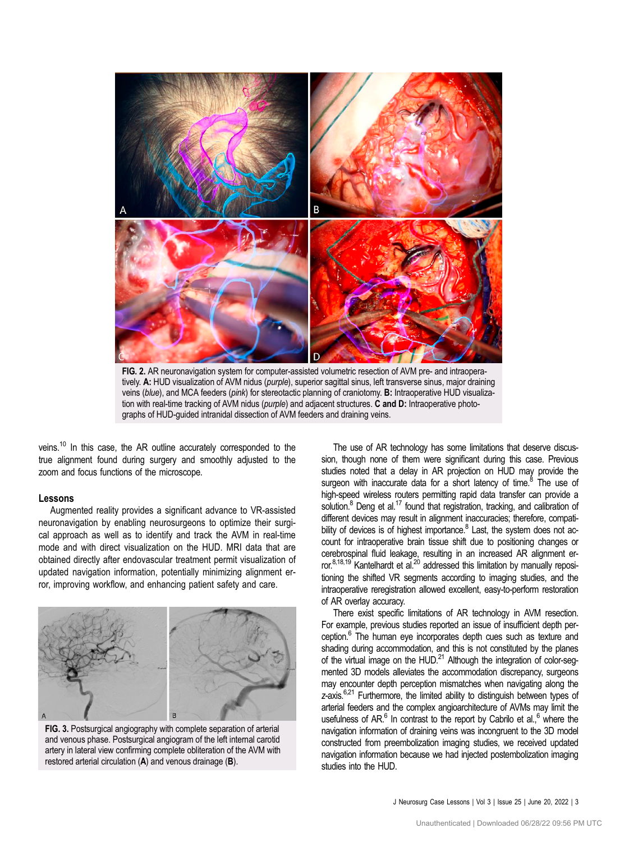<span id="page-2-0"></span>

FIG. 2. AR neuronavigation system for computer-assisted volumetric resection of AVM pre- and intraoperatively. A: HUD visualization of AVM nidus (purple), superior sagittal sinus, left transverse sinus, major draining veins (blue), and MCA feeders (pink) for stereotactic planning of craniotomy. B: Intraoperative HUD visualization with real-time tracking of AVM nidus (purple) and adjacent structures. C and D: Intraoperative photographs of HUD-guided intranidal dissection of AVM feeders and draining veins.

veins.<sup>10</sup> In this case, the AR outline accurately corresponded to the true alignment found during surgery and smoothly adjusted to the zoom and focus functions of the microscope.

#### Lessons

Augmented reality provides a significant advance to VR-assisted neuronavigation by enabling neurosurgeons to optimize their surgical approach as well as to identify and track the AVM in real-time mode and with direct visualization on the HUD. MRI data that are obtained directly after endovascular treatment permit visualization of updated navigation information, potentially minimizing alignment error, improving workflow, and enhancing patient safety and care.



FIG. 3. Postsurgical angiography with complete separation of arterial and venous phase. Postsurgical angiogram of the left internal carotid artery in lateral view confirming complete obliteration of the AVM with restored arterial circulation (A) and venous drainage (B).

The use of AR technology has some limitations that deserve discussion, though none of them were significant during this case. Previous studies noted that a delay in AR projection on HUD may provide the surgeon with inaccurate data for a short latency of time. $8$  The use of high-speed wireless routers permitting rapid data transfer can provide a solution.<sup>8</sup> Deng et al.<sup>17</sup> found that registration, tracking, and calibration of different devices may result in alignment inaccuracies; therefore, compatibility of devices is of highest importance. $8$  Last, the system does not account for intraoperative brain tissue shift due to positioning changes or cerebrospinal fluid leakage, resulting in an increased AR alignment er-ror.<sup>8,18,[19](#page-3-0)</sup> Kantelhardt et al.<sup>20</sup> addressed this limitation by manually repositioning the shifted VR segments according to imaging studies, and the intraoperative reregistration allowed excellent, easy-to-perform restoration of AR overlay accuracy.

There exist specific limitations of AR technology in AVM resection. For example, previous studies reported an issue of insufficient depth perception.<sup>6</sup> The human eye incorporates depth cues such as texture and shading during accommodation, and this is not constituted by the planes of the virtual image on the HUD.<sup>[21](#page-3-0)</sup> Although the integration of color-segmented 3D models alleviates the accommodation discrepancy, surgeons may encounter depth perception mismatches when navigating along the z-axis.<sup>6,21</sup> Furthermore, the limited ability to distinguish between types of arterial feeders and the complex angioarchitecture of AVMs may limit the usefulness of AR. $<sup>6</sup>$  In contrast to the report by Cabrilo et al., $<sup>6</sup>$  where the</sup></sup> navigation information of draining veins was incongruent to the 3D model constructed from preembolization imaging studies, we received updated navigation information because we had injected postembolization imaging studies into the HUD.